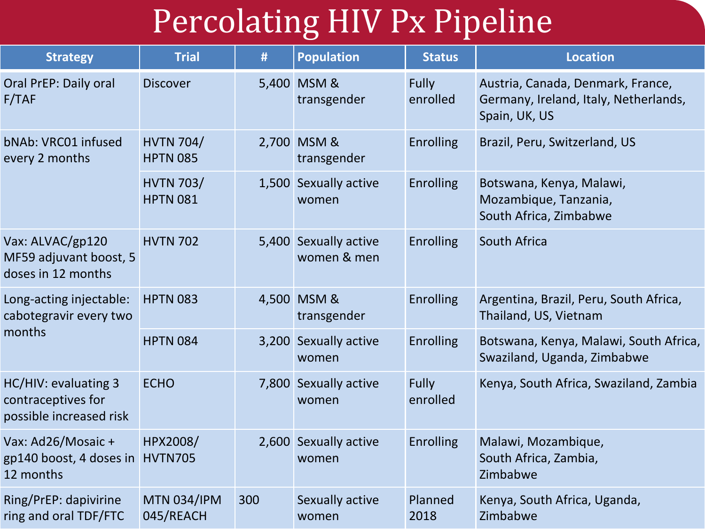## Percolating HIV Px Pipeline

| <b>Strategy</b>                                                       | <b>Trial</b>                        | #   | <b>Population</b>                    | <b>Status</b>     | <b>Location</b>                                                                             |  |
|-----------------------------------------------------------------------|-------------------------------------|-----|--------------------------------------|-------------------|---------------------------------------------------------------------------------------------|--|
| Oral PrEP: Daily oral<br>F/TAF                                        | <b>Discover</b>                     |     | 5,400 MSM &<br>transgender           | Fully<br>enrolled | Austria, Canada, Denmark, France,<br>Germany, Ireland, Italy, Netherlands,<br>Spain, UK, US |  |
| bNAb: VRC01 infused<br>every 2 months                                 | <b>HVTN 704/</b><br><b>HPTN 085</b> |     | 2,700 MSM &<br>transgender           | Enrolling         | Brazil, Peru, Switzerland, US                                                               |  |
|                                                                       | <b>HVTN 703/</b><br><b>HPTN 081</b> |     | 1,500 Sexually active<br>women       | <b>Enrolling</b>  | Botswana, Kenya, Malawi,<br>Mozambique, Tanzania,<br>South Africa, Zimbabwe                 |  |
| Vax: ALVAC/gp120<br>MF59 adjuvant boost, 5<br>doses in 12 months      | <b>HVTN 702</b>                     |     | 5,400 Sexually active<br>women & men | <b>Enrolling</b>  | South Africa                                                                                |  |
| Long-acting injectable:<br>cabotegravir every two<br>months           | <b>HPTN 083</b>                     |     | 4,500 MSM &<br>transgender           | Enrolling         | Argentina, Brazil, Peru, South Africa,<br>Thailand, US, Vietnam                             |  |
|                                                                       | <b>HPTN 084</b>                     |     | 3,200 Sexually active<br>women       | Enrolling         | Botswana, Kenya, Malawi, South Africa,<br>Swaziland, Uganda, Zimbabwe                       |  |
| HC/HIV: evaluating 3<br>contraceptives for<br>possible increased risk | <b>ECHO</b>                         |     | 7,800 Sexually active<br>women       | Fully<br>enrolled | Kenya, South Africa, Swaziland, Zambia                                                      |  |
| Vax: Ad26/Mosaic +<br>gp140 boost, 4 doses in<br>12 months            | HPX2008/<br><b>HVTN705</b>          |     | 2,600 Sexually active<br>women       | <b>Enrolling</b>  | Malawi, Mozambique,<br>South Africa, Zambia,<br>Zimbabwe                                    |  |
| Ring/PrEP: dapivirine<br>ring and oral TDF/FTC                        | <b>MTN 034/IPM</b><br>045/REACH     | 300 | Sexually active<br>women             | Planned<br>2018   | Kenya, South Africa, Uganda,<br>Zimbabwe                                                    |  |